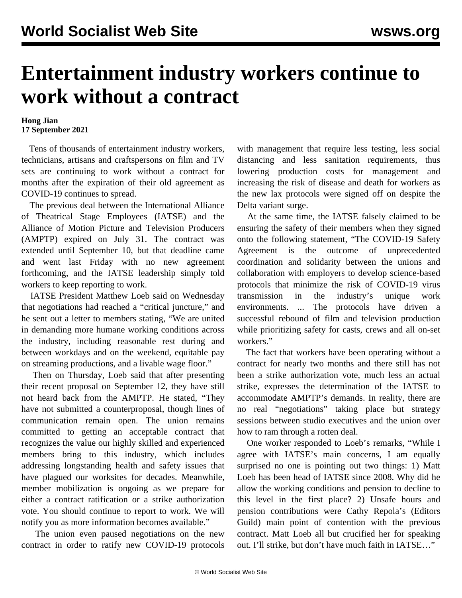## **Entertainment industry workers continue to work without a contract**

## **Hong Jian 17 September 2021**

 Tens of thousands of entertainment industry workers, technicians, artisans and craftspersons on film and TV sets are continuing to work without a contract for months after the expiration of their old agreement as COVID-19 continues to spread.

 The previous deal between the International Alliance of Theatrical Stage Employees (IATSE) and the Alliance of Motion Picture and Television Producers (AMPTP) expired on July 31. The contract was extended until September 10, but that deadline came and went last Friday with no new agreement forthcoming, and the IATSE leadership simply told workers to keep reporting to work.

 IATSE President Matthew Loeb said on Wednesday that negotiations had reached a "critical juncture," and he sent out a letter to members stating, "We are united in demanding more humane working conditions across the industry, including reasonable rest during and between workdays and on the weekend, equitable pay on streaming productions, and a livable wage floor."

 Then on Thursday, Loeb said that after presenting their recent proposal on September 12, they have still not heard back from the AMPTP. He stated, "They have not submitted a counterproposal, though lines of communication remain open. The union remains committed to getting an acceptable contract that recognizes the value our highly skilled and experienced members bring to this industry, which includes addressing longstanding health and safety issues that have plagued our worksites for decades. Meanwhile, member mobilization is ongoing as we prepare for either a contract ratification or a strike authorization vote. You should continue to report to work. We will notify you as more information becomes available."

 The union even paused negotiations on the new contract in order to ratify new COVID-19 protocols with management that require less testing, less social distancing and less sanitation requirements, thus lowering production costs for management and increasing the risk of disease and death for workers as the new lax protocols were signed off on despite the Delta variant surge.

 At the same time, the IATSE falsely claimed to be ensuring the safety of their members when they signed onto the following statement, "The COVID-19 Safety Agreement is the outcome of unprecedented coordination and solidarity between the unions and collaboration with employers to develop science-based protocols that minimize the risk of COVID-19 virus transmission in the industry's unique work environments. ... The protocols have driven a successful rebound of film and television production while prioritizing safety for casts, crews and all on-set workers."

 The fact that workers have been operating without a contract for nearly two months and there still has not been a strike authorization vote, much less an actual strike, expresses the determination of the IATSE to accommodate AMPTP's demands. In reality, there are no real "negotiations" taking place but strategy sessions between studio executives and the union over how to ram through a rotten deal.

 One worker responded to Loeb's remarks, "While I agree with IATSE's main concerns, I am equally surprised no one is pointing out two things: 1) Matt Loeb has been head of IATSE since 2008. Why did he allow the working conditions and pension to decline to this level in the first place? 2) Unsafe hours and pension contributions were Cathy Repola's (Editors Guild) main point of contention with the previous contract. Matt Loeb all but crucified her for speaking out. I'll strike, but don't have much faith in IATSE…"